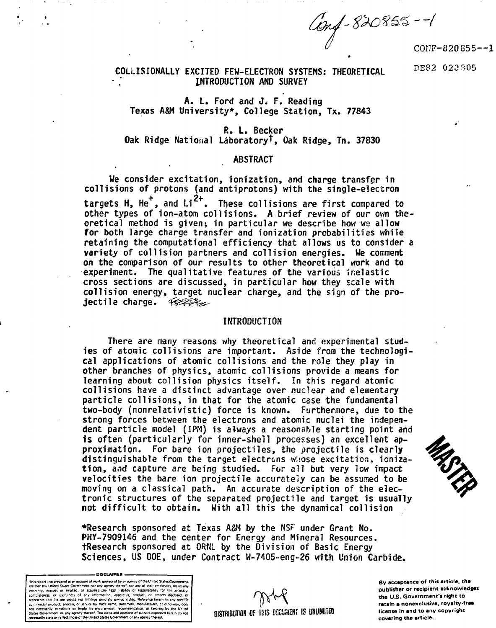Conf - 820855 -- 1<br>CONF-820855--1

### **COLLISIONALLY EXCITED FEW-ELECTRON SYSTEMS: THEORETICAL INTRODUCTION AND SURVEY**

 **DB8 2 02a30 5**

# **A. L. Ford and J. F. Reading Texas A&M University\*, College Station, Tx. 77843**

## **R. L. Becker Oak Ridge National Laboratory<sup>1</sup> ", Oak Ridge, Tn. 37830**

### **ABSTRACT**

**We consider excitation, ionization, and charge transfer in collisions of protons (and antiprotons) with the single-electron** targets H, He<sup>+</sup>, and Li<sup>2+</sup>. These collisions are first compared to **other types of ion-atom collisions. A brief review of our own theoretical method is given; in particular we describe how we allow for both large charge transfer and ionization probabilities while retaining the computational efficiency that allows us to consider a variety of collision partners and collision energies. We comment on the comparison of our results to other theoretical work and to experiment. The qualitative features of the various Inelastic cross sections are discussed, in particular how they scale with collision energy, target nuclear charge, and the sign of the projectile charge.** 45%S

### **INTRODUCTION**

**There are many reasons why theoretical and experimental studies of atomic collisions are important. Aside from the technological applications of atomic collisions and the role they play in other branches of physics, atomic collisions provide a means for learning about collision physics itself. In this regard atomic collisions have a distinct advantage over nuclear and elementary particle collisions, in that for the atomic case the fundamental two-body (nonrelativistic) force is known. Furthermore, due to the strong forces between the electrons and atomic nuclei the independent particle model (IPM) is always a reasonable starting point and is often (particularly for inner-shell processes) an excellent approximation. For bare ion projectiles, the projectile is clearly distinguishable from the target electrons wlsose excitation, ionization, and capture are being studied. For all but very low impact velocities the bare ion projectile accurately can be assumed to be moving on a classical path. An accurate description of the electronic structures of the separated projectile and target is usually not difficult to obtain. With all this the dynamical collision**

**•Research sponsored at Texas ASM by the NSF under Grant No. PHY-7909146 and the center for Energy and Mineral Resources. tResearch sponsored at QRUl by the Division of Basic Energy Sciences, US DOE, under Contract W-7405~eng-26 with Union Carbide.**



**By acceptance of this article, the publisher or recipient acknowledge! the U.S. Government's right to retain a nonexclusive, royalty-free license in and to any copyright covering the article.**

MSTEP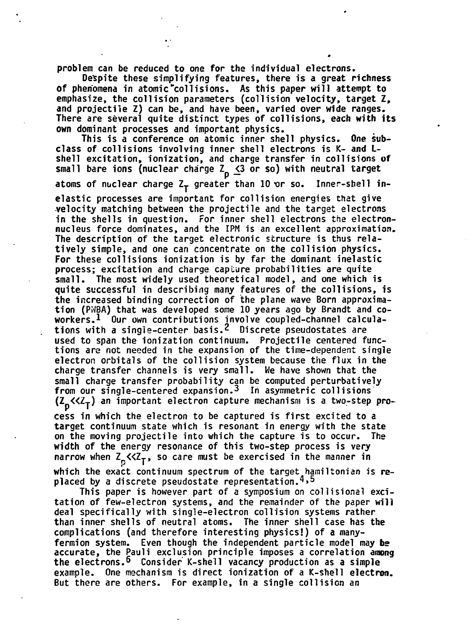**problem can be reduced to one for the individual electrons.**

**Despite these simplifying features, there is a great richness of phenomena in atomic "collisions. As this paper will attempt to emphasize, the collision parameters (collision velocity, target Z, and projectile Z) can be, and have been, varied over wide ranges. There are several quite distinct types of collisions, each with its own dominant processes and important physics.**

**This is a conference on atomic inner shell physics. One subclass of collisions involving inner shell electrons is K- and Lshell excitation, ionization, and charge transfer in collisions of** small bare ions (nuclear charge Z<sub>p</sub>  $\leq$ 3 or so) with neutral target

atoms of nuclear charge Z<sub>T</sub> greater than 10 or so. Inner-shell in-

**elastic processes are important for collision energies that give velocity matching between the projectile and the target electrons in the shells in question. For inner shell electrons the electronnucleus force dominates, and the IPM is an excellent approximation. The description of the target electronic structure is thus relatively simple, and one can concentrate on the collision physics. For these collisions ionization is by far the dominant inelastic process; excitation and charge capture probabilities are quite small. The most widely used theoretical model, and one which is quite successful in describing many features of the collisions, is the increased binding correction of the plane wave Born approximation (PWBA) that was developed some 10 years ago by Brandt and coworkers.<sup>1</sup> Our own contributions involve coupled-channel calculations with a single-center basis.2 Discrete pseudostates are used to span the ionization continuum. Projectile centered functions are not needed in the expansion of the time-dependent single electron orbitals of the collision system because the flux in the charge transfer channels is very small. We have shown that the small charge transfer probability can be computed perturbatively from our single-centered expansion.3 In asymmetric collisions (Z «Zy ) an important electron capture mechanism is a two-step pro-**

**cess in which the electron to be captured is first excited to a target continuum state which is resonant in energy with the state on the moving projectile into which the capture is to occur. The width of the energy resonance of this two-step process is very** narrow when  $Z_p$ << $Z_T$ , so care must be exercised in the manner in which the exact continuum spectrum of the target hamiltonian is replaced by a discrete pseudostate representation.<sup>4,5</sup>

This paper is however part of a symposium on collisional excitation of few-electron systems, and the remainder of the paper will **deal specifically with single-electron collision systems rather** than inner shells of neutral atoms. The inner shell case has the complications (and therefore interesting physics!) of a manyfermion system. Even though the independent particle model may be **accurate, the Pauli exclusion principle imposes a correlation among** accurate, the Pauli exclusion principle in production as a complex state of the principle in a correlation as a complex state of the production as a complex state of the production as a complex state of the production as a **the electrons.<sup>6</sup> Consider K-shell vacancy production as a simple example. One mechanism is direct ionization of a K-shell electron. But there are others. For example, in a single collision an**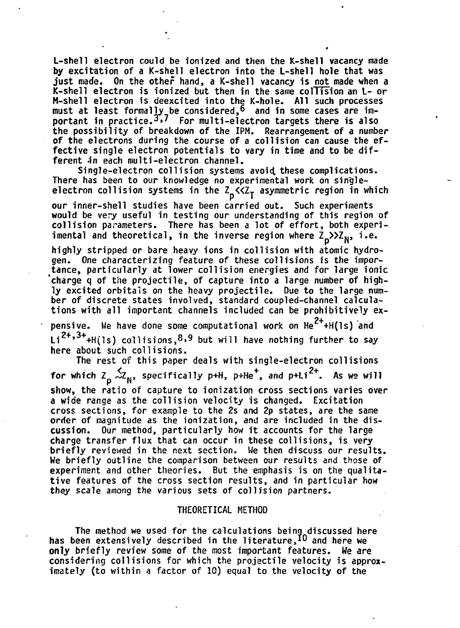**L-shell electron could be ionized and then the K-she11 vacancy made by excitation of a K-shell electron into the L-shell hole that was just made. On the other hand, a K-shell vacancy is not made when a K-shell electron is ionized but then in the same collision an L- or M-shell electron is deexcited into the K-hole. All such processes must at least formally be considered,<sup>6</sup> and in some cases are important in practice.3>7 for multi-electron targets there is also the possibility of breakdown of the IPM. Rearrangement of a number of the electrons during the course of a collision can cause the effective single electron potentials to vary in time and to be dif**ferent in each multi-electron channel.

**Single-electron collision systems avoid, these complications. There has been to our knowledge no experimental work on singleelectron collision systems in the Z\_«Zj asymmetric region in which**

**our inner-shell studies have been carried out. Such experiments would be very useful in testing our understanding of this region of collision parameters. There has been a lot of effort, both experi**imental and theoretical, in the inverse region where Z<sub>D</sub>>>Z<sub>N</sub>, i.e.

**highly stripped or bare heavy ions in collision with atomic hydrogen. One characterizing feature of these collisions is the importance, particularly at lower collision energies and for large ionic 'charge q of the projectile, of capture into a large number of highly excited orbitals on the heavy projectile. Due to the large number of discrete states involved, standard coupled-channel calculations with all important channels included can be prohibitively ex-**

pensive. We have done some computational work on He<sup>2+</sup>+H(ls) and Li<sup>2+,3+</sup>+H(ls) collisions,<sup>8,9</sup> but will have nothing further to say **here about such collisions.**

**The rest of this paper deals with single-electron collisions** for which  $Z_p \stackrel{f}{\sim} Z_N$ , specifically p+H, p+He<sup>+</sup>, and p+Li<sup>2+</sup>. As we will show, the ratio of capture to ionization cross sections varies over a wide range as the collision velocity is changed. Excitation cross sections, for example to the 2s and 2p states, are the same order of magnitude as the ionization, and are included in the discussion. Our method, particularly how it accounts for the large charge transfer flux that can occur in these collisions, is very **briefly reviewed in the next section. We then discuss our results.** We briefly outline the comparison between our results and those of **experiment and other theories.** But the emphasis is on the qualitative features of the cross section results, and in particular how they scale among the various sets of collision partners.

### **THEORETICAL METHOD**

**The method we used for the calculations being discussed here has been extensively described in the literature,\*® and here we only briefly review some of the most important features. Me are considering collisions for which the projectile velocity is approximately (to within a factor of 10) equal to the velocity of the**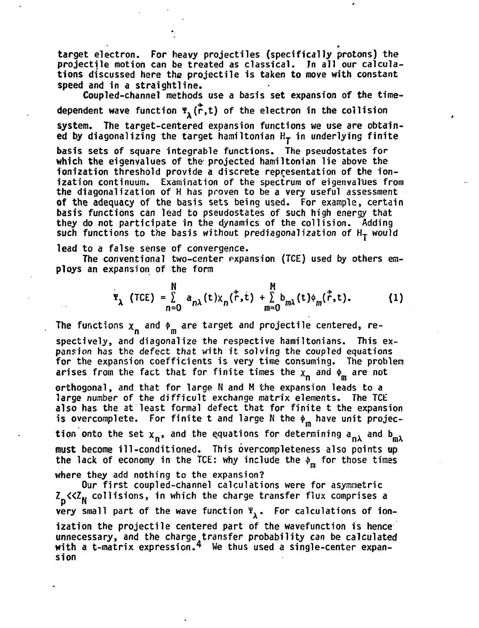**target electron. For heavy projectiles (specifically protons) the projectile motion can be treated as classical. Jn all our calculations discussed here the projectile is taken to move with constant speed and in a straightline.**

**Coupled-channel methods use a basis set expansion of the timedependent wave function \*A(r,t) of the electron in the collision system. The target-centered expansion functions we use are obtain**ed by diagonalizing the target hamiltonian  $H_T$  in underlying finite

**basis sets of square integrable functions. The pseudostates for which the eigenvalues of the projected hamiltonian lie above the ionization threshold provide a discrete representation of the ionization continuum. Examination of the spectrum of eigenvalues from the diagonalization of H has proven to be a very useful assessment of the adequacy of the basis sets being used. For example, certain basis functions can lead to pseudostates of such high energy that they do not participate in the dynamics of the collision. Adding** such functions to the basis without prediagonalization of  $H_T$  would

**lead to a false sense of convergence.**

**The conventional two-center expansion (TCE) used by others employs an expansion of the form**

$$
\Psi_{\lambda} \text{ (TCE)} = \sum_{n=0}^{N} a_{n\lambda}(t) x_{n}(\vec{r}, t) + \sum_{m=0}^{M} b_{m\lambda}(t) \phi_{m}(\vec{r}, t). \qquad (1)
$$

The functions  $x_n$  and  $\phi_m$  are target and projectile centered, re**spectively, and diagonalize the respective hamiltonians. This expansion has the defect that with it solving the coupled equations for the expansion coefficients is very time consuming. The problem** arises from the fact that for finite times the  $x_n$  and  $\phi_m$  are not **orthogonal, and that for large N and M the expansion leads to a large number of the difficult exchange matrix elements. The TCE also has the at least formal defect that for finite t the expansion** is overcomplete. For finite t and large N the  $\phi_m$  have unit projec**tion onto the set**  $x_n$ **, and the equations for determining**  $a_{n\lambda}$  **and**  $b_{m\lambda}$ **must become ill-conditioned. This overcompleteness also points up the lack of economy in the TCE: why include the \$m for those times**

**where they add nothing to the expansion?**

**Our first coupled-channel calculations were for asymmetric Z «Z <sup>N</sup> collisions, in which the charge transfer flux comprises a very** small part of the wave function  $\Psi_{\mathbf{1}}$ . For calculations of ion**ization the projectile centered part of the wavefunction is hence unnecessary, and the charge transfer probability can be calculated** with a t-matrix expression.<sup>4</sup> We thus used a single-center expan**sion**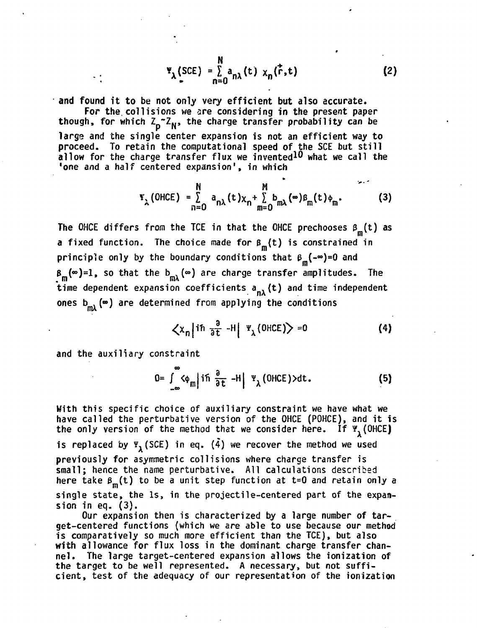$$
\Psi_{\lambda}(\text{SCE}) = \sum_{n=0}^{N} a_{n\lambda}(t) x_n(\vec{r}, t)
$$
 (2)

**and found it to be not only very efficient but also accurate.**

**For the. collisions we are considering in the present paper** though, for which Z<sub>p</sub><sup>2</sup><sub>N</sub>, the charge transfer probability can be **large and the single center expansion is not an efficient way to proceed. To retain the computational speed of the SCE but still allow for the charge transfer flux we invented<sup>10</sup> what we call the 'one and a half centered expansion<sup>1</sup>, in which**

$$
\mathbf{Y}_{\lambda} \text{(OHCE)} = \sum_{n=0}^{N} a_{n\lambda} (t) \chi_{n} + \sum_{m=0}^{M} b_{m\lambda} (\infty) \beta_{m} (t) \phi_{m}.
$$
 (3)

The OHCE differs from the TCE in that the OHCE prechooses  $\beta_m(t)$  as **a** fixed function. The choice made for  $\beta_m(t)$  is constrained in principle only by the boundary conditions that  $\beta_m(-\infty)=0$  and  $\beta_m(\infty)=1$ , so that the b<sub>m</sub> ( $\infty$ ) are charge transfer amplitudes. The time dependent expansion coefficients a<sub>n</sub> (t) and time independent time dependent expansion of the coefficients and time in the coefficients of the coefficients and time in the coefficients of the coefficients of the coefficients of the coefficients of the coefficients of the coefficients **MA**

$$
\left\langle x_n \middle| \text{ if } \frac{a}{\partial t} - H \middle| \left| \frac{w}{\lambda} \text{(OHCE)} \right| \right\rangle = 0 \tag{4}
$$

**and the auxiliary constraint**

$$
0 = \int_{-\infty}^{\infty} \langle \phi_m | \text{ if } \frac{\partial}{\partial t} - H | \Psi_{\lambda} \text{ (OHCE)} \rangle dt. \tag{5}
$$

**With this specific choice of auxiliary constraint we have what we have called the perturbative version of the OHCE (POHCE), and it is the only version of the method that we consider here. If ¥(OHCE)** is replaced by  $\Psi_1$  (SCE) in eq.  $(\tilde{4})$  we recover the method we used **previously for asymmetric collisions where charge transfer is small; hence the name perturbative. All calculations described** here take  $\beta_m(t)$  to be a unit step function at t=0 and retain only a **single state, the Is, in the projectile-centered part of the expansion in eq. (3).**

**Our expansion then is characterized by a large number of target-centered functions (which we are able to use because our method is comparatively so much more efficient than the TCE), but also with allowance for flux loss in the dominant charge transfer channel. The large target-centered expansion allows the ionization of the target to be well represented. A necessary, but not sufficient, test of the adequacy of our representation of the ionization**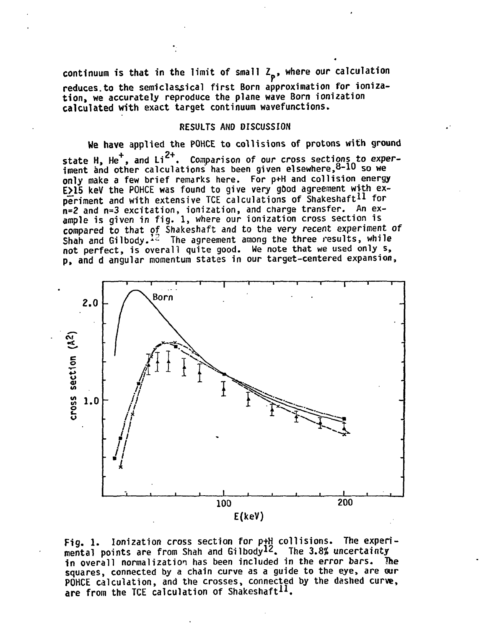continuum is that in the limit of small Z<sub>p</sub>, where our calculation **reduces.to the semiclassical first Born approximation for ionization, we accurately reproduce the plane wave Born ionization calculated with exact target continuum wavefunctions.**

### **RESULTS AND DISCUSSION**

**We have applied the POHCE to collisions of protons with ground** state H, He<sup>+</sup>, and Li<sup>2+</sup>. Comparison of our cross sections to exper**iment and other calculations has been given elsewhere,<sup>8</sup>" <sup>10</sup> so we only make a few brief remarks here. For p+H and collision energy** E>15 keV the POHCE was found to give very good agreement with ex**periment and with extensive TCE calculations of Shakeshaft<sup>11</sup> for n=2 and n=3 excitation, ionization, and charge transfer. An example is given in fig. 1, where our ionization cross section is compared to that of Shakeshaft and to the very recent experiment of Shah and Gilbody.<sup>12</sup> The agreement among the three results, while not perfect, is overall quite good. We note that we used only s, p, and d angular momentum states in our target-centered expansion,**



**Fig. 1. Ionization cross section for p+H collisions. The experimental points are from Shah and Gilbody<sup>12</sup>. The 3.8% uncertainty in overall normalization has been included in the error bars. The squares, connected by a chain curve as a guide to the eye, are our POHCE calculation, and the crosses, connected by the dashed curve, are from the TCE calculation of Shakeshaft<sup>11</sup>.**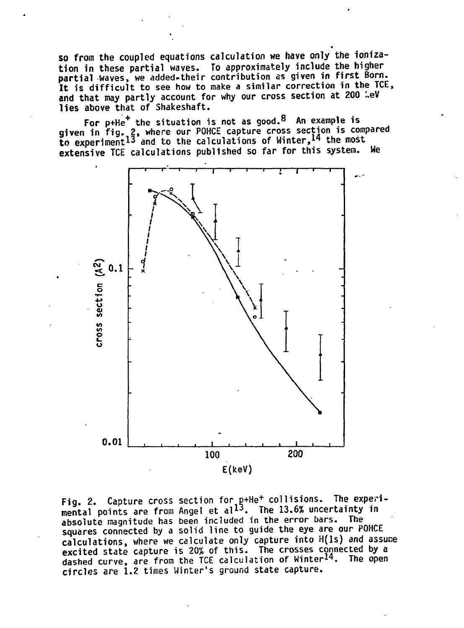**so from the coupled equations calculation we have only the ionization in these partial waves. To approximately include the higher partial Waves, we added-their contribution as given in first Born. It is difficult to see how to make a similar correction in the TCE,** and that may partly account for why our cross section at 200  $\text{keV}$ **lies above that of Shakeshaft.**

**For p+He<sup>+</sup> the situation is not as good.<sup>8</sup> An example is given in fig. 2, where our POHCE capture cross section is compared to experiment<sup>13</sup> and to the calculations of Winter,<sup>14</sup> the most extensive TCE calculations published so far for this system. We**



**Fig. 2. Capture cross section for p+He<sup>+</sup> collisions. The experimental points are from Angel et al1 3 . The 13.6% uncertainty in absolute magnitude has been included in the error bars. The squares connected by a solid line to guide the eye are our POHCE calculations, where we calculate only capture into H(ls) and assune excited state capture is 20% of this. The crosses connected by a dashed curve, are from the TCE calculation of Winter<sup>14</sup>. The open circles are 1.2 times Winter's ground state capture.**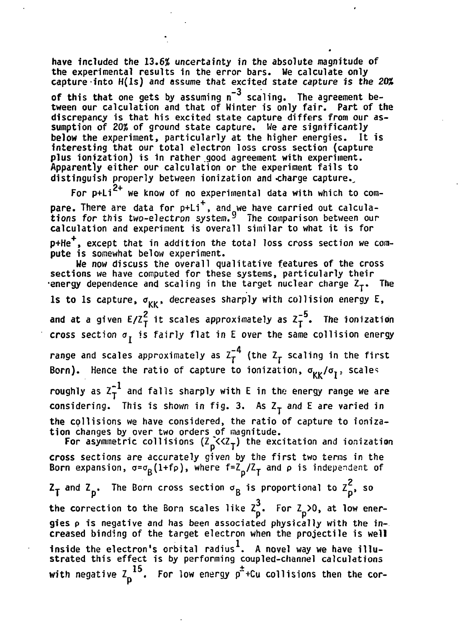**have included the 13.6% uncertainty in the absolute magnitude of the experimental results in the error bars. We calculate only capture into H(ls) and assume that excited state capture is the 20%** of this that one gets by assuming  $n^{-3}$  scaling. The agreement between our calculation and that of Winter is only fair. Part of the discrepancy is that his excited state capture differs from our assumption of 20% of ground state capture. We are significantly below the experiment, particularly at the higher energies. It is **interesting that our total electron loss cross section (capture** plus ionization) is in rather good agreement with experiment. Apparently either our calculation or the experiment fails to distinguish properly between ionization and charge capture. **distinguish properly between ionization and .charge capture.,**

 $\mathbf{r}$ There are data for n+Li<sup>+</sup> and we have carried out calculation pare. There are data for p+Li<sup>1</sup>, and we have carried out careara **calculation and experiment is overall similar to what it is for c** calculation and the state is ordered in the total loss cross section we

p+He **+** except that in addition the total loss cross section me com-<br>puto is comounst bolow experiment **pute is somewhat below experiment.**

sections we have computed for these systems, particularly their sections we have computed for the theory in the system of the systems of the systems. The system of the theory of the system of the system of the system of the system of the system of the system of the system of the system **•energy dependence and scaling in the target nuclear charge Zj. The Is to Is capture,**  $\sigma_{\kappa\kappa}$ **, decreases sharply with collision energy E,**  $2$  it coales approximately as  $7^{-5}$ **and at a given E/ZT it scales approximately as Zy . The ionization cross section**  $\sigma_{\tau}$  **is fairly flat in E over the same collision energy** range and scales approximately as  $Z^{-4}_{\bm{\tau}}$  (the  $Z^-_{\bm{\tau}}$  scaling in the first s **Born). Hence the ratio of capture to ionization, <sup>C</sup> I /<sup>K</sup> /°T! scales** roughly as  $z_T^{-1}$  and falls sharply with E in the energy range we are considering. This is shown in fig. 3. As Z<sub>T</sub> and E are varied in **the collisions we have considered, the ratio of capture to ionization changes by over two orders of magnitude.** For asymmetric collisions  $(\overrightarrow{z}_p \langle z \rangle)$  the excitation and ionization

**cross sections are accurately given by the first two terms in the Born expansion, <j=aB(l+fp), where f=Z /I- and p is independent of**

 $Z_T$  and  $Z_p$ . The Born cross section  $\sigma_R$  is proportional to  $Z_p^2$ , so the correction to the Born scales like  $\overline{z}_p^3$ . For  $\overline{z}_p$  >0, at low ener**gies p is negative and has been associated physically with the increased binding of the target electron when the projectile is well inside the electron's orbital radius . A novel way we have illustrated this effect is by performing coupled-channel calculations**  $15 \quad$   $\frac{1}{2}$   $\frac{1}{2}$   $\frac{1}{2}$   $\frac{1}{2}$   $\frac{1}{2}$ with negative  $\frac{1}{p}$  . For low energy p<sup>-1</sup>Cu collisions then the cor-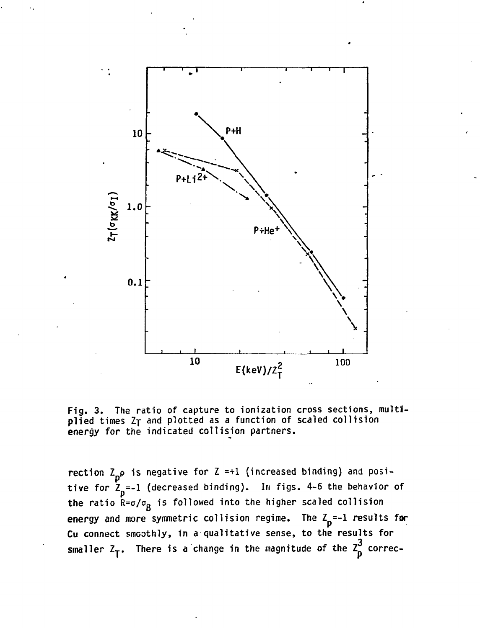

**Fig. 3. The ratio of capture to ionization cross sections, multiplied times Ij and plotted as a function of scaled collision energy for the indicated collision partners.**

rection Z<sub>n</sub>o is negative for Z =+1 (increased binding) and positive for  $\bar{Z}_p = -1$  (decreased binding). In figs. 4-6 the behavior of **the ratio R=a/oa is followed into the higher scaled collision** energy and more symmetric collision regime. The  $Z_{p}$  =-1 results for Cu connect smoothly, in a qualitative sense, to the results for  $\overline{C}$ ,  $\overline{C}$ ,  $\overline{C}$ ,  $\overline{C}$ ,  $\overline{C}$ ,  $\overline{C}$ ,  $\overline{C}$ ,  $\overline{C}$ ,  $\overline{C}$ ,  $\overline{C}$ ,  $\overline{C}$ ,  $\overline{C}$ ,  $\overline{C}$ ,  $\overline{C}$ ,  $\overline{C}$ ,  $\overline{C}$ ,  $\overline{C}$ ,  $\overline{C}$ ,  $\overline{C}$ ,  $\overline{C}$ ,  $\overline{C}$ ,  $\overline{C}$ , **smaller Z<sup>T</sup> . There is a change in the magnitude of the Z correc-**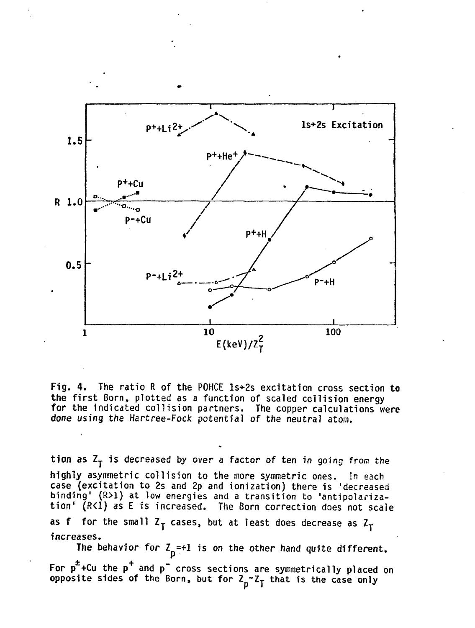

Fig. 4. The ratio R of the POHCE ls+2s excitation cross section to **the** first Born, plotted as a function of scaled collision energy **for** the indicated collision partners. The copper calculations were done using the Hartree-Fock potential of the neutral atom.

tion as Z<sub>T</sub> is decreased by over a factor of ten in going from the highly asymmetric collision to the more symmetric ones. In each case (excitation to 2s and 2p and ionization) there is 'decreased binding' (R>1) at low energies and a transition to 'antipolarization' (R<1) as E is increased. The Born correction does not scale as f for the small  $Z_T$  cases, but at least does decrease as  $Z_T$ increases. The behavior for  $Z_{p}$ =+1 is on the other hand quite different.

For p~+Cu the p and p" cross sections are symmetrically placed on opposite sides of the Born, but for  $Z_n^\thicksim Z_\tau$  that is the case only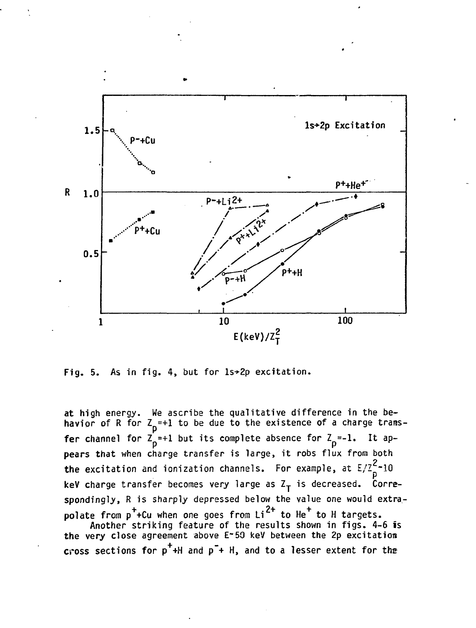

Fig. 5. As in fig. 4, but for 1s+2p excitation.

**at high energy. We ascribe the qualitative difference in the be**havior of R for  $Z_{\text{D}}^{\text{=}+1}$  to be due to the existence of a charge trans**fer channel for**  $\overline{Z}_D^{\epsilon}=+1$  **but its complete absence for**  $\overline{Z}_D^{\epsilon}=1$ **. It appears that when charge transfer is large, it robs flux from both 2 the excitation and ionization channels. For example, at E/Z -10** keV charge transfer becomes very large as Z<sub>T</sub> is decreased. Corre**spondingly, R is sharply depressed below the value one would extra** polate from  $p^+$ +Cu when one goes from  $Li^{2+}$  to He<sup>+</sup> to H targets.

Another striking feature of the results shown in figs. 4-6 is the very close agreement above E-50 keV between the 2p excitation **the very close agreement above E~50 keV between the 2p excitation cross sections for p +H and p"+ H, and to a lesser extent for the**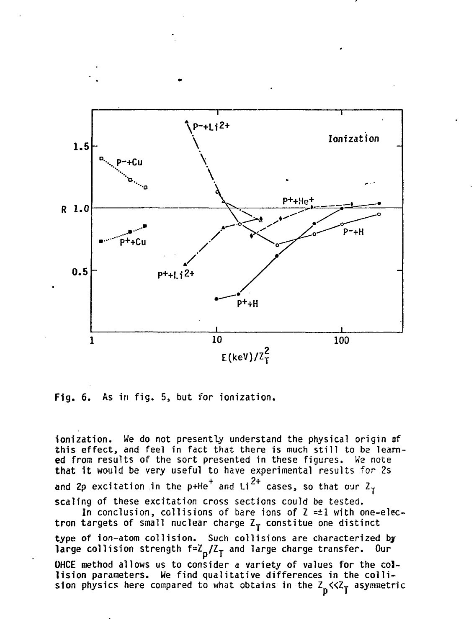

**Fig. 6. As in fig. 5, but for ionization.**

**ionization. We do not presently understand the physical origin af this effect, and feel in fact that there is much still to be learned from results of the sort presented in these figures. We note that it would be very useful to have experimental results for 2s and 2p excitation in the p+He** $^+$  **and Li** $^{2+}$  **cases, so that our Z** $_{\texttt{T}}$ **scaling of these excitation cross sections could be tested. In conclusion, collisions of bare ions of Z =±1 with one-elec**tron targets of small nuclear charge Z<sub>T</sub> constitue one distinct **type of ion-atom collision. Such collisions are characterized bj** large collision strength  $f = Z_0 / Z_T$  and large charge transfer. Our **OHCE method allows us to consider a variety of values for the collision parameters. We find qualitative differences in the colli**sion physics here compared to what obtains in the Z<sub>n</sub><<Z<sub>T</sub> asymmetric